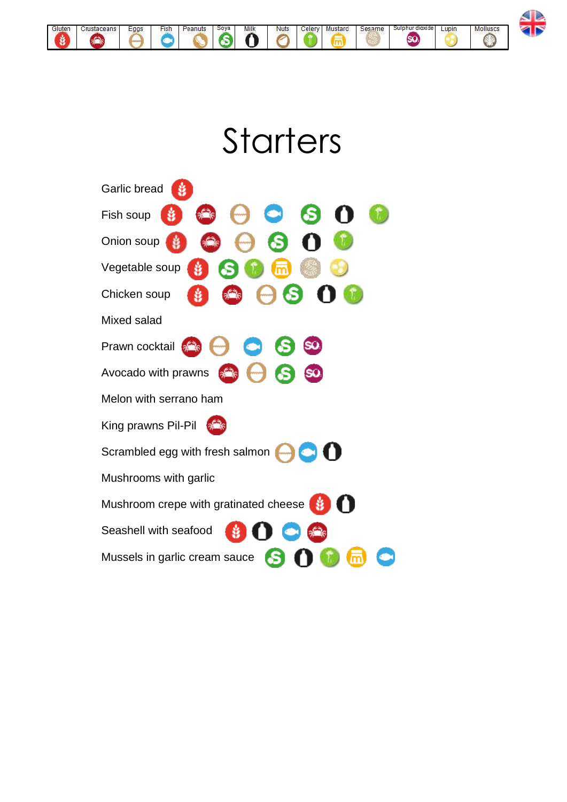

## **Starters**

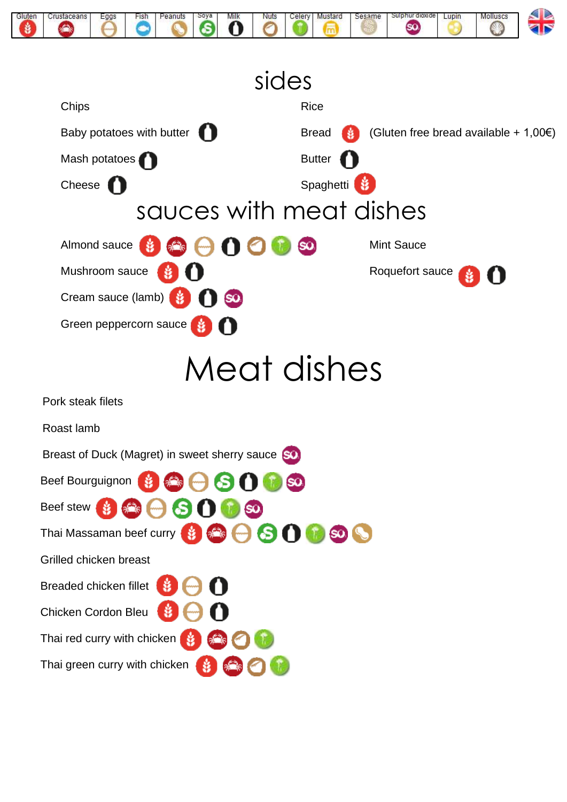